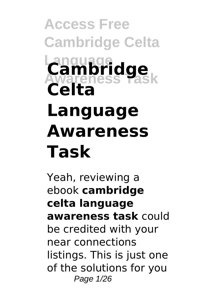# **Access Free Cambridge Celta Language Awareness Task Cambridge Celta Language Awareness Task**

Yeah, reviewing a ebook **cambridge celta language awareness task** could be credited with your near connections listings. This is just one of the solutions for you Page 1/26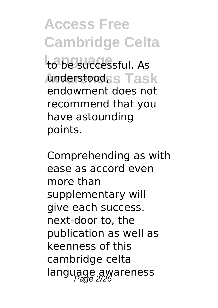**Access Free Cambridge Celta** to be successful. As Anderstood<sub>SS</sub> Task endowment does not recommend that you have astounding points.

Comprehending as with ease as accord even more than supplementary will give each success. next-door to, the publication as well as keenness of this cambridge celta language awareness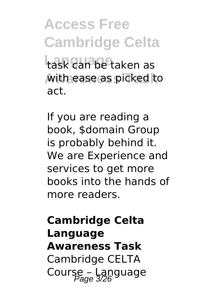**Access Free Cambridge Celta** task can be taken as with ease as picked to act.

If you are reading a book, \$domain Group is probably behind it. We are Experience and services to get more books into the hands of more readers.

### **Cambridge Celta Language Awareness Task** Cambridge CELTA Course – Language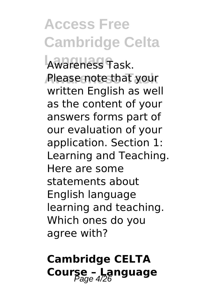## **Access Free Cambridge Celta**

**Language** Awareness Task. **Please note that your** written English as well as the content of your answers forms part of our evaluation of your application. Section 1: Learning and Teaching. Here are some statements about English language learning and teaching. Which ones do you agree with?

### **Cambridge CELTA Course - Language**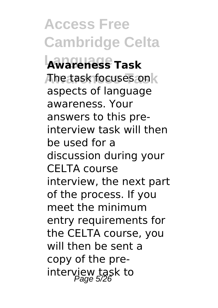**Access Free Cambridge Celta Language Awareness Task The task focuses on k** aspects of language awareness. Your answers to this preinterview task will then be used for a discussion during your CELTA course interview, the next part of the process. If you meet the minimum entry requirements for the CELTA course, you will then be sent a copy of the preinterview task to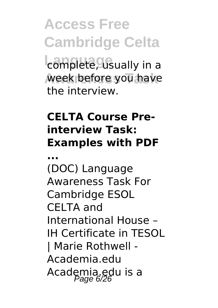**Access Free Cambridge Celta L**<br>complete, usually in a week before you have the interview.

### **CELTA Course Preinterview Task: Examples with PDF**

**...**

(DOC) Language Awareness Task For Cambridge ESOL CELTA and International House – IH Certificate in TESOL | Marie Rothwell - Academia.edu Academia.edu is a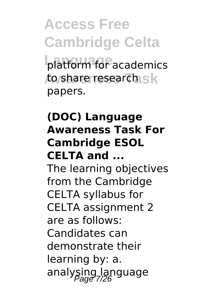**Access Free Cambridge Celta** platform for academics to share research s k papers.

### **(DOC) Language Awareness Task For Cambridge ESOL CELTA and ...**

The learning objectives from the Cambridge CELTA syllabus for CELTA assignment 2 are as follows: Candidates can demonstrate their learning by: a. analysing language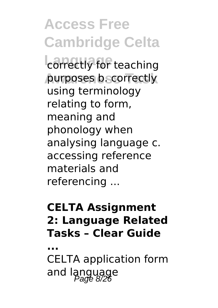**Access Free Cambridge Celta L**<br>correctly for teaching purposes b. correctly using terminology relating to form, meaning and phonology when analysing language c. accessing reference materials and referencing ...

#### **CELTA Assignment 2: Language Related Tasks – Clear Guide**

**...** CELTA application form and language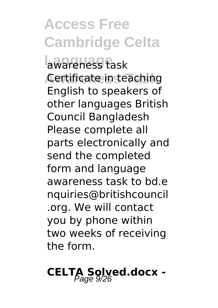**Access Free Cambridge Celta Language** awareness task **Certificate in teaching** English to speakers of other languages British Council Bangladesh Please complete all parts electronically and send the completed form and language awareness task to bd.e nquiries@britishcouncil .org. We will contact you by phone within two weeks of receiving the form.

### CELTA Solved.docx -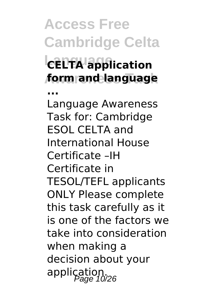**Access Free Cambridge Celta Language CELTA application Awareness Task form and language ...**

Language Awareness Task for: Cambridge ESOL CELTA and International House Certificate –IH Certificate in TESOL/TEFL applicants ONLY Please complete this task carefully as it is one of the factors we take into consideration when making a decision about your application.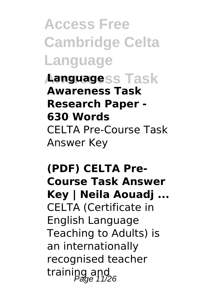**Access Free Cambridge Celta Language**

**Languagess Task Awareness Task Research Paper - 630 Words** CELTA Pre-Course Task Answer Key

**(PDF) CELTA Pre-Course Task Answer Key | Neila Aouadj ...** CELTA (Certificate in English Language Teaching to Adults) is an internationally recognised teacher training and  $P_{\text{age}}$  11/26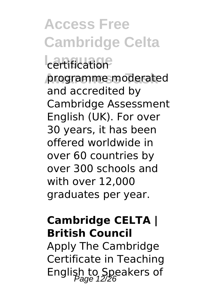## **Access Free Cambridge Celta**

### **L**ertification

programme moderated and accredited by Cambridge Assessment English (UK). For over 30 years, it has been offered worldwide in over 60 countries by over 300 schools and with over 12,000 graduates per year.

#### **Cambridge CELTA | British Council**

Apply The Cambridge Certificate in Teaching English to Speakers of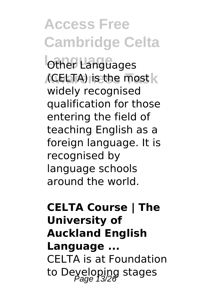**Access Free Cambridge Celta Other Languages Awareness Task** (CELTA) is the most widely recognised qualification for those entering the field of teaching English as a foreign language. It is recognised by language schools around the world.

**CELTA Course | The University of Auckland English Language ...** CELTA is at Foundation to Deyeloping stages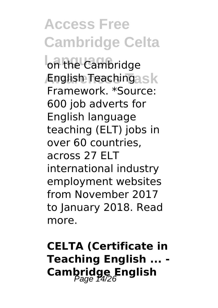**Access Free Cambridge Celta** on the Cambridge **English Teachingask** Framework. \*Source: 600 job adverts for English language teaching (ELT) jobs in over 60 countries, across 27 ELT international industry employment websites from November 2017 to January 2018. Read more.

**CELTA (Certificate in Teaching English ... - Cambridge English**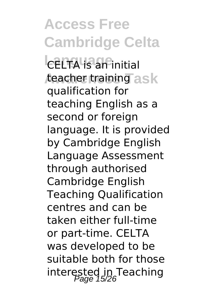**Access Free Cambridge Celta L**<br>CELTA is an initial *t*eacher training as k qualification for teaching English as a second or foreign language. It is provided by Cambridge English Language Assessment through authorised Cambridge English Teaching Qualification centres and can be taken either full-time or part-time. CELTA was developed to be suitable both for those interested in Teaching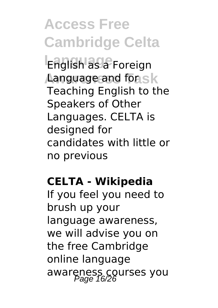**Access Free Cambridge Celta Language** English as a Foreign **Language and for sk** Teaching English to the Speakers of Other Languages. CELTA is designed for candidates with little or no previous

#### **CELTA - Wikipedia**

If you feel you need to brush up your language awareness, we will advise you on the free Cambridge online language awareness courses you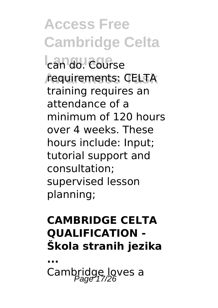**Access Free Cambridge Celta** can do. Course **Awareness Task** requirements: CELTA training requires an attendance of a minimum of 120 hours over 4 weeks. These hours include: Input; tutorial support and consultation; supervised lesson planning;

#### **CAMBRIDGE CELTA QUALIFICATION - Škola stranih jezika**

**...** Cambridge loves a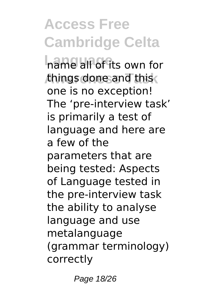### **Access Free Cambridge Celta**

**Language** name all of its own for things done and this one is no exception! The 'pre-interview task' is primarily a test of language and here are a few of the parameters that are being tested: Aspects of Language tested in the pre-interview task the ability to analyse language and use metalanguage (grammar terminology) correctly

Page 18/26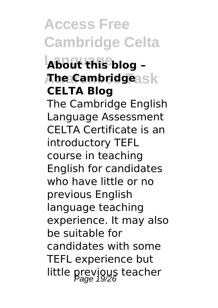**Access Free Cambridge Celta Language About this blog – Awareness Task The Cambridge CELTA Blog** The Cambridge English Language Assessment CELTA Certificate is an introductory TEFL course in teaching English for candidates who have little or no previous English language teaching experience. It may also be suitable for candidates with some TEFL experience but little previous teacher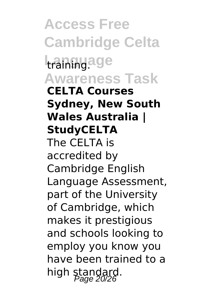**Access Free Cambridge Celta Language Awareness Task CELTA Courses Sydney, New South Wales Australia | StudyCELTA** The CELTA is accredited by Cambridge English Language Assessment, part of the University of Cambridge, which makes it prestigious and schools looking to employ you know you have been trained to a high standard.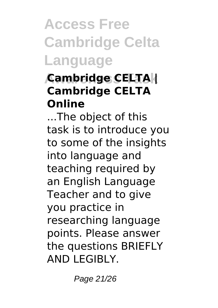### **Access Free Cambridge Celta Language**

### **Awareness Task Cambridge CELTA | Cambridge CELTA Online**

...The object of this task is to introduce you to some of the insights into language and teaching required by an English Language Teacher and to give you practice in researching language points. Please answer the questions BRIEFLY AND LEGIBLY.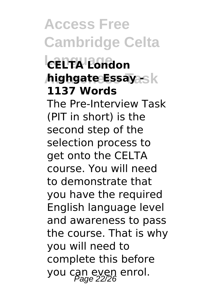**Access Free Cambridge Celta Language CELTA London highgate Essay -** sk **1137 Words** The Pre-Interview Task (PIT in short) is the second step of the selection process to get onto the CELTA course. You will need to demonstrate that you have the required English language level and awareness to pass the course. That is why you will need to complete this before you can even enrol.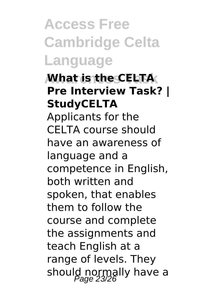**Access Free Cambridge Celta Language**

**Awareness Task What is the CELTA Pre Interview Task? | StudyCELTA** Applicants for the CELTA course should have an awareness of language and a competence in English, both written and spoken, that enables them to follow the course and complete the assignments and teach English at a range of levels. They should normally have a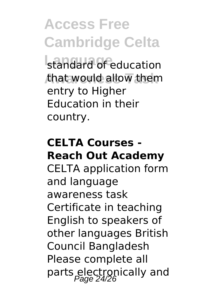**Access Free Cambridge Celta**

standard of education that would allow them entry to Higher Education in their country.

#### **CELTA Courses - Reach Out Academy**

CELTA application form and language awareness task Certificate in teaching English to speakers of other languages British Council Bangladesh Please complete all parts electronically and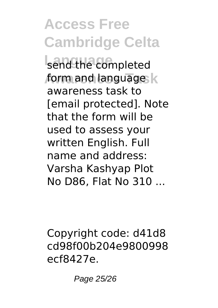**Access Free Cambridge Celta**

send the completed form and language **k** awareness task to [email protected]. Note that the form will be used to assess your written English. Full name and address: Varsha Kashyap Plot No D86, Flat No 310 ...

Copyright code: d41d8 cd98f00b204e9800998 ecf8427e.

Page 25/26